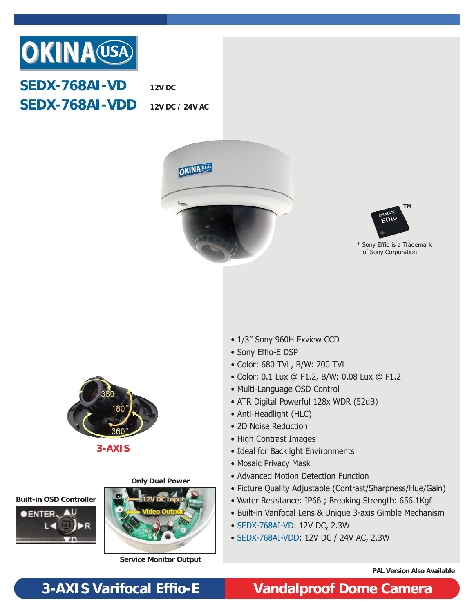

**SEDX-768AI-VD SEDX-768AI-VDD**

**12V DC**

**12V DC / 24V AC**





\* Sony Effio is a Trademark of Sony Corporation



**3-AXIS**

### **Only Dual Power**





**Service Monitor Output**

- 1/3" Sony 960H Exview CCD
- Sony Effio-E DSP
- Color: 680 TVL, B/W: 700 TVL
- Color: 0.1 Lux @ F1.2, B/W: 0.08 Lux @ F1.2
- Multi-Language OSD Control
- ATR Digital Powerful 128x WDR (52dB)
- Anti-Headlight (HLC)
- 2D Noise Reduction
- High Contrast Images
- Ideal for Backlight Environments
- Mosaic Privacy Mask
- Advanced Motion Detection Function
- Picture Quality Adjustable (Contrast/Sharpness/Hue/Gain)
- Water Resistance: IP66 ; Breaking Strength: 656.1Kgf
- Built-in Varifocal Lens & Unique 3-axis Gimble Mechanism
- SEDX-768AI-VD: 12V DC, 2.3W
- SEDX-768AI-VDD: 12V DC / 24V AC, 2.3W

**PAL Version Also Available**

### **3-AXIS Varifocal Effi o-E Vandalproof Dome Camera**